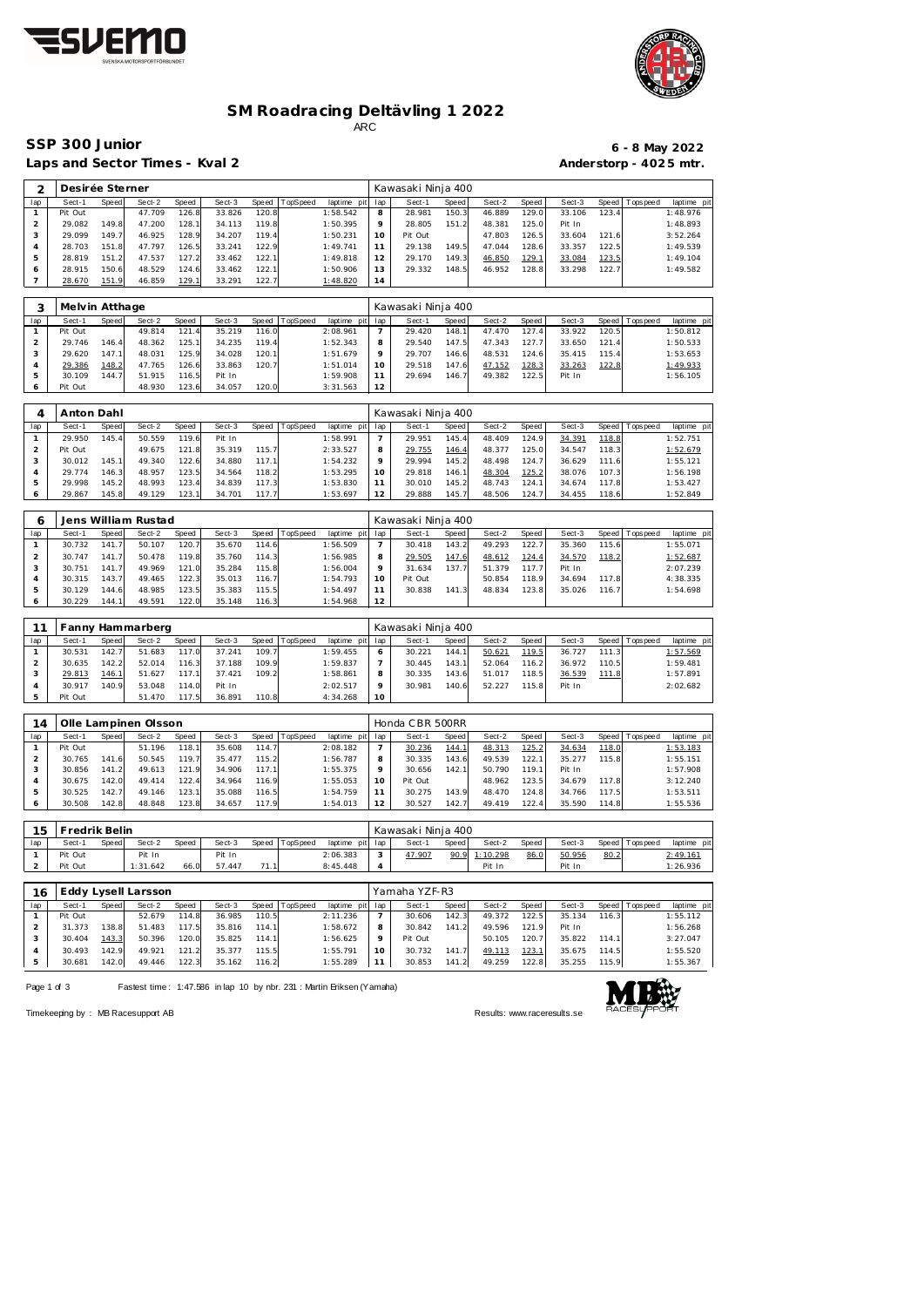



## **SM Roadracing Deltävling 1 2022** ARC

Laps and Sector Times - Kval 2 **Anderstorp - 4025 mtr.** 

## **SSP 300 Junior 6 - 8 May 2022**

| ⌒   | Desirée Sterner |       |        |       |        |       |          |                 |    | Kawasaki Ninja 400 |       |        |                |        |       |                |             |  |
|-----|-----------------|-------|--------|-------|--------|-------|----------|-----------------|----|--------------------|-------|--------|----------------|--------|-------|----------------|-------------|--|
| lap | Sect-1          | Speed | Sect-2 | Speed | Sect-3 | Speed | TopSpeed | laptime pit lap |    | Sect-1             | Speed | Sect-2 | Speed          | Sect-3 |       | Speed Topspeed | laptime pit |  |
|     | Pit Out         |       | 47.709 | 126.8 | 33.826 | 120.8 |          | 1:58.542        | 8  | 28.981             | 150.3 | 46.889 | 129.0          | 33.106 | 123.4 |                | 1:48.976    |  |
|     | 29.082          | 149.8 | 47.200 | 128.1 | 34.113 | 119.8 |          | 1:50.395        |    | 28.805             | 151.2 | 48.381 | 125.0          | Pit In |       |                | 1:48.893    |  |
|     | 29.099          | 149.7 | 46.925 | 128.9 | 34.207 | 119.4 |          | 1:50.231        | 10 | Pit Out            |       | 47.803 | 126.5          | 33.604 | 121.6 |                | 3:52.264    |  |
|     | 28.703          | 151.8 | 47.797 | 126.5 | 33.241 | 122.9 |          | 1:49.741        |    | 29.138             | 149.5 | 47.044 | 128.6          | 33.357 | 122.5 |                | 1:49.539    |  |
|     | 28.819          | 151.2 | 47.537 | 127.2 | 33.462 | 122.1 |          | 1:49.818        |    | 29.170             | 149.3 | 46.850 | <u> 129.  </u> | 33.084 | 123.5 |                | 1:49.104    |  |
|     | 28.915          | 150.6 | 48.529 | 124.6 | 33.462 | 122.1 |          | 1:50.906        | 13 | 29.332             | 148.5 | 46.952 | 128.8          | 33.298 | 122.7 |                | 1:49.582    |  |
|     | 28.670          | 151.9 | 46.859 | 129.1 | 33.291 | 122.7 |          | 1:48.820        | 14 |                    |       |        |                |        |       |                |             |  |

|     | Melvin Atthage |       |        |       |        |       |          |                 |         | Kawasaki Ninja 400 |       |        |        |        |       |                 |             |
|-----|----------------|-------|--------|-------|--------|-------|----------|-----------------|---------|--------------------|-------|--------|--------|--------|-------|-----------------|-------------|
| lap | Sect-1         | Speed | Sect-2 | Speed | Sect-3 | Speed | TopSpeed | laptime pit lap |         | Sect-1             | Speed | Sect-2 | Speed  | Sect-3 |       | Speed Tops peed | laptime pit |
|     | Pit Out        |       | 49.814 | 121.4 | 35.219 | 116.0 |          | 2:08.961        |         | 29.420             | 148.1 | 47.470 | 127.4. | 33.922 | 120.5 |                 | 1:50.812    |
|     | 29.746         | 146.4 | 48.362 | 125.1 | 34.235 | 119.4 |          | 1:52.343        | 8       | 29.540             | 147.5 | 47.343 | 127.7  | 33.650 | 121.4 |                 | 1:50.533    |
|     | 29.620         | 147.1 | 48.031 | 125.9 | 34.028 | 120.1 |          | 1:51.679        | $\circ$ | 29.707             | 146.6 | 48.531 | 124.6  | 35.415 | 115.4 |                 | 1:53.653    |
|     | 29.386         | 148.2 | 47.765 | 126.6 | 33.863 | 120.7 |          | 1:51.014        | 10      | 29.518             | 147.6 | 47.152 | 128.3  | 33.263 | 122.8 |                 | 1:49.933    |
|     | 30.109         | 144.7 | 51.915 | 116.5 | Pit In |       |          | 1:59.908        |         | 29.694             | 146.7 | 49.382 | 122.5  | Pit In |       |                 | 1:56.105    |
|     | Pit Out        |       | 48.930 | 123.6 | 34.057 | 120.0 |          | 3:31.563        | 12      |                    |       |        |        |        |       |                 |             |

|     | Anton Dahl |              |        |        |        |       |          |             |     | Kawasaki Ninja 400 |        |        |       |        |       |                 |            |  |
|-----|------------|--------------|--------|--------|--------|-------|----------|-------------|-----|--------------------|--------|--------|-------|--------|-------|-----------------|------------|--|
| lap | Sect-1     | <b>Speed</b> | Sect-2 | Speed  | Sect-3 | Speed | TopSpeed | laptime pit | lap | Sect-1             | Speed  | Sect-2 | Speed | Sect-3 |       | Speed Tops peed | laptime pi |  |
|     | 29.950     | 145.4        | 50.559 | 119.6  | Pit In |       |          | 1:58.991    |     | 29.951             | 145.4  | 48.409 | 124.9 | 34.391 | 118.8 |                 | 1:52.751   |  |
|     | Pit Out    |              | 49.675 | 121.8  | 35.319 | 115.7 |          | 2:33.527    |     | 29.755             | 146.4  | 48.377 | 125.0 | 34.547 | 118.3 |                 | 1:52.679   |  |
|     | 30.012     | 145.1        | 49.340 | 122.6  | 34.880 | 117.1 |          | 1:54.232    |     | 29.994             | 145.2  | 48.498 | 124.7 | 36.629 | 111.6 |                 | 1:55.121   |  |
|     | 29.774     | 146.3        | 48.957 | 123.51 | 34.564 | 118.2 |          | 1:53.295    |     | 29.818             | 146.11 | 48.304 | 125.2 | 38.076 | 107.3 |                 | 1:56.198   |  |
| 5.  | 29.998     | 145.2        | 48.993 | 123.4  | 34.839 | 117.3 |          | 1:53.830    |     | 30.010             | 145.2  | 48.743 | 124.1 | 34.674 | 117.8 |                 | 1:53.427   |  |
|     | 29.867     | 145.8        | 49.129 | 123.1  | 34.701 | 117.7 |          | 1:53.697    | 12  | 29.888             | 145.7  | 48.506 | 124.7 | 34.455 | 118.6 |                 | 1:52.849   |  |

|     |        |       | Jens William Rustad |       |        |       |          |             |         | Kawasaki Ninja 400 |              |        |       |        |       |                 |             |
|-----|--------|-------|---------------------|-------|--------|-------|----------|-------------|---------|--------------------|--------------|--------|-------|--------|-------|-----------------|-------------|
| lap | Sect-1 | Speed | Sect-2              | Speed | Sect-3 | Speed | TopSpeed | laptime pit | lap     | Sect-1             | <b>Speed</b> | Sect-2 | Speed | Sect-3 |       | Speed Tops peed | laptime pit |
|     | 30.732 | 141.7 | 50.107              | 120.7 | 35.670 | 114.6 |          | 1:56.509    |         | 30.418             | 143.2        | 49.293 | 122.7 | 35.360 | 115.6 |                 | 1:55.071    |
|     | 30.747 | 141.7 | 50.478              | 119.8 | 35.760 | 114.3 |          | 1:56.985    | 8       | 29.505             | 147.6        | 48.612 | 124.4 | 34.570 | 118.2 |                 | 1:52.687    |
|     | 30.751 | 141.7 | 49.969              | 121.0 | 35.284 | 115.8 |          | 1:56.004    | $\circ$ | 31.634             | 137.7        | 51.379 | 117.7 | Pit In |       |                 | 2:07.239    |
|     | 30.315 | 143.7 | 49.465              | 122.3 | 35.013 | 116.7 |          | 1:54.793    | 10      | Pit Out            |              | 50.854 | 118.9 | 34.694 | 117.8 |                 | 4:38.335    |
|     | 30.129 | 144.6 | 48.985              | 123.5 | 35.383 | 115.5 |          | 1:54.497    |         | 30.838             | 141.3        | 48.834 | 123.8 | 35.026 | 116.7 |                 | 1:54.698    |
|     | 30.229 | 144.1 | 49.591              | 122.0 | 35.148 | 116.3 |          | 1:54.968    | 12      |                    |              |        |       |        |       |                 |             |

|     |         |       | Fanny Hammarberg |       |        |       |          |                 |         | Kawasaki Ninja 400 |       |        |       |        |       |                   |             |
|-----|---------|-------|------------------|-------|--------|-------|----------|-----------------|---------|--------------------|-------|--------|-------|--------|-------|-------------------|-------------|
| lap | Sect-1  | Speed | Sect-2           | Speed | Sect-3 | Speed | TopSpeed | laptime pit lap |         | Sect-1             | Speed | Sect-2 | Speed | Sect-3 |       | Speed   Tops peed | laptime pit |
|     | 30.531  | 142.7 | 51.683           | 117.0 | 37.241 | 109.7 |          | 1:59.455        |         | 30.221             | 144.1 | 50.621 | 119.5 | 36.727 | 111.3 |                   | 1:57.569    |
|     | 30.635  | 142.2 | 52.014           | 116.3 | 37.188 | 109.9 |          | 1:59.837        |         | 30.445             | 143.1 | 52.064 | 116.2 | 36.972 | 110.5 |                   | 1:59.481    |
|     | 29.813  | 146.1 | 51.627           | 117.1 | 37.421 | 109.2 |          | 1:58.861        | 8       | 30.335             | 143.6 | 51.017 | 118.5 | 36.539 | 111.8 |                   | 1:57.891    |
|     | 30.917  | 140.9 | 53.048           | 114.0 | Pit In |       |          | 2:02.517        | $\circ$ | 30.981             | 140.6 | 52.227 | 115.8 | Pit In |       |                   | 2:02.682    |
|     | Pit Out |       | 51.470           | 117.5 | 36.891 | 110.8 |          | 4:34.268        | 10      |                    |       |        |       |        |       |                   |             |

| 14  |         |                   | Olle Lampinen Olsson |       |        |       |          |                 |         | Honda CBR 500RR |       |        |       |        |       |                   |             |
|-----|---------|-------------------|----------------------|-------|--------|-------|----------|-----------------|---------|-----------------|-------|--------|-------|--------|-------|-------------------|-------------|
| lap | Sect-1  | Speed             | Sect-2               | Speed | Sect-3 | Speed | TopSpeed | laptime pit lap |         | Sect-1          | Speed | Sect-2 | Speed | Sect-3 |       | Speed   Tops peed | laptime pit |
|     | Pit Out |                   | 51.196               | 118.1 | 35.608 | 114.7 |          | 2:08.182        |         | 30.236          | 144.1 | 48.313 | 125.2 | 34.634 | 118.0 |                   | 1:53.183    |
|     | 30.765  | 141<br>$\sqrt{2}$ | 50.545               | 119.7 | 35.477 | 115.2 |          | 1:56.787        | 8       | 30.335          | 143.6 | 49.539 | 122.1 | 35.277 | 115.8 |                   | 1:55.151    |
|     | 30.856  | 141.2             | 49.613               | 121.9 | 34.906 | 117.1 |          | 1:55.375        | $\circ$ | 30.656          | 142.1 | 50.790 | 119.1 | Pit In |       |                   | 1:57.908    |
|     | 30.675  | 142.0             | 49.414               | 122.4 | 34.964 | 116.9 |          | 1:55.053        | 10      | Pit Out         |       | 48.962 | 123.5 | 34.679 | 117.8 |                   | 3:12.240    |
|     | 30.525  | 142.7             | 49.146               | 123.1 | 35.088 | 116.5 |          | 1:54.759        |         | 30.275          | 143.9 | 48.470 | 124.8 | 34.766 | 117.5 |                   | 1:53.511    |
|     | 30.508  | 142.8             | 48.848               | 123.8 | 34.657 | 117.9 |          | 1:54.013        | 12      | 30.527          | 142.7 | 49.419 | 122.4 | 35.590 | 114.8 |                   | 1:55.536    |

| 15  | Fredrik Belin |       |          |              |        |                |                 |        | Kawasaki Ninia 400 |       |          |       |        |      |                 |             |
|-----|---------------|-------|----------|--------------|--------|----------------|-----------------|--------|--------------------|-------|----------|-------|--------|------|-----------------|-------------|
| lap | Sect-1        | Speed | Sect-2   | <b>Speed</b> | Sect-3 | Speed TopSpeed | laptime pit lap |        | Sect-1             | Speed | Sect-2   | Speed | Sect-3 |      | Speed Tops peed | laptime pit |
|     | Pit Out       |       | Pit In   |              | Pit In |                | 2:06.383        | $\sim$ | 47.907             | 90.9  | 1:10.298 | 86.0  | 50.956 | 80.2 |                 | 2:49.161    |
|     | Pit Out       |       | 1:31.642 | 66.0         | 57.447 |                | 8:45.448        |        |                    |       | Pit In   |       | Pit In |      |                 | 1:26.936    |

| 16  |         |       | Eddy Lysell Larsson |       |        |       |          |                 |          | Yamaha YZF-R3 |       |        |               |        |       |                 |             |
|-----|---------|-------|---------------------|-------|--------|-------|----------|-----------------|----------|---------------|-------|--------|---------------|--------|-------|-----------------|-------------|
| lap | Sect-1  | Speed | Sect-2              | Speed | Sect-3 | Speed | TopSpeed | laptime pit lap |          | Sect-1        | Speed | Sect-2 | Speed         | Sect-3 |       | Speed Tops peed | laptime pit |
|     | Pit Out |       | 52.679              | 114.8 | 36.985 | 110.5 |          | 2:11.236        |          | 30.606        | 142.3 | 49.372 | 122.5         | 35.134 | 116.3 |                 | 1:55.112    |
|     | 31.373  | 138.8 | 51.483              | 117.5 | 35.816 | 114.1 |          | 1:58.672        | 8        | 30.842        | 141.2 | 49.596 | 121.9         | Pit In |       |                 | 1:56.268    |
|     | 30.404  | 143.3 | 50.396              | 120.0 | 35.825 | 114.1 |          | 1:56.625        | $\circ$  | Pit Out       |       | 50.105 | 120.7         | 35.822 | 114.1 |                 | 3:27.047    |
|     | 30.493  | 142.9 | 49.921              | 121   | 35.377 | 115.5 |          | 1:55.791        | $10^{-}$ | 30.732        | 141.7 | 49.113 | <u> 123.1</u> | 35.675 | 114.5 |                 | 1:55.520    |
|     | 30.681  | 142.0 | 49.446              | 122.3 | 35.162 | 116.2 |          | 1:55.289        |          | 30.853        | 141.2 | 49.259 | 122.8         | 35.255 | 115.9 |                 | 1:55.367    |

Page 1 of 3 Fastest time: 1:47.586 in lap 10 by nbr. 231 : Martin Eriksen (Yamaha)



Timekeeping by : MB Racesupport AB Results:<www.raceresults.se>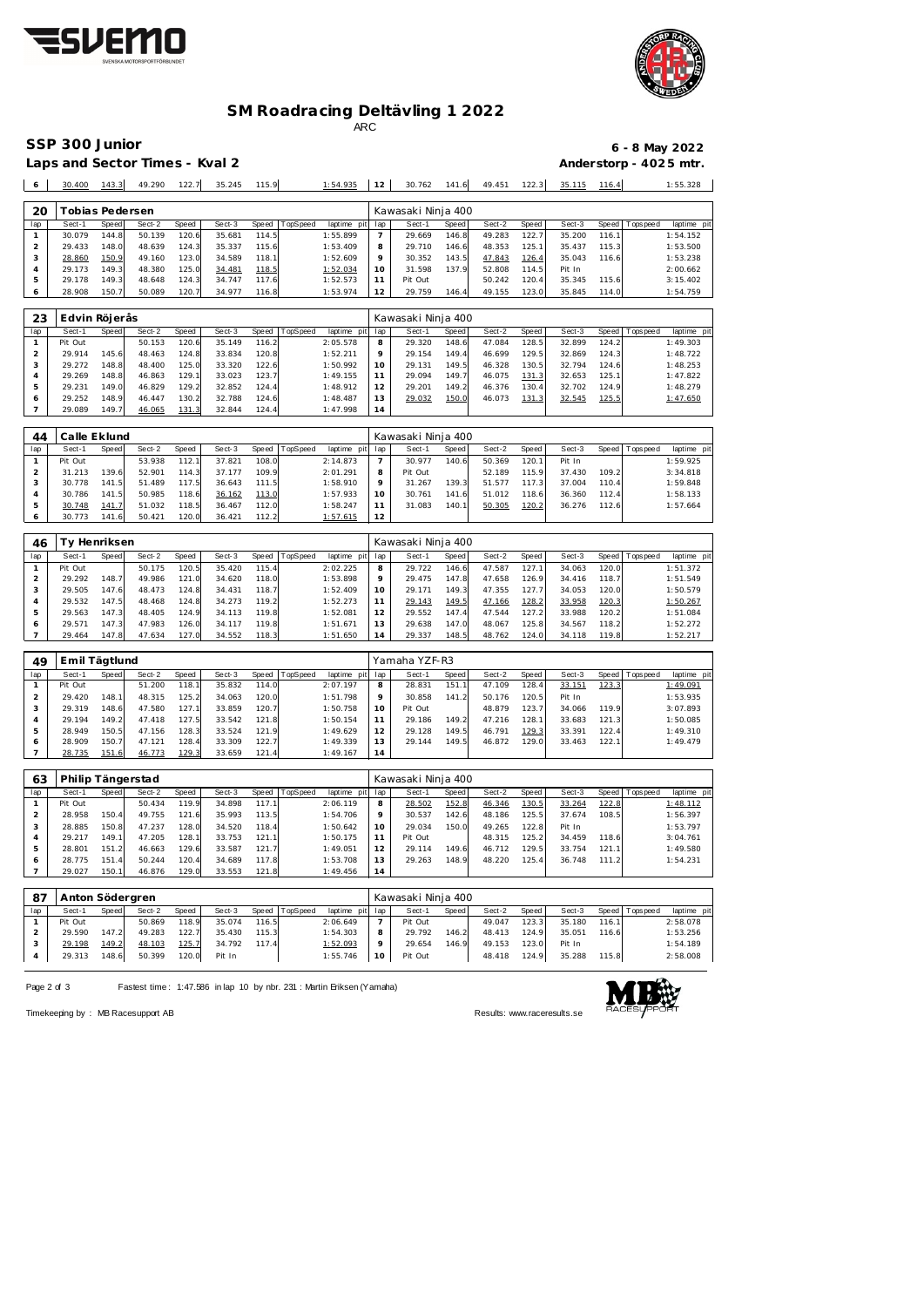



## **SM Roadracing Deltävling 1 2022**

ARC

**SSP 300 Junior 6 - 8 May 2022**

Laps and Sector Times - Kval 2 **Anderstorp - 4025 mtr.** 

29.178 149.3 48.648 124.3 34.747 117.6 1:52.573

Pit Out 50.242 120.4 35.345 115.6 3:15.402

| O   | 30.400 | 143.3            | 49.290 | 122.7 | 35.245 | 115.9 |          | 1:54.935        | 12      | 30.762             | 141.6 | 49.451 | 122.3 | 35.115 | 116.4 |                 | 1:55.328    |
|-----|--------|------------------|--------|-------|--------|-------|----------|-----------------|---------|--------------------|-------|--------|-------|--------|-------|-----------------|-------------|
|     |        |                  |        |       |        |       |          |                 |         |                    |       |        |       |        |       |                 |             |
| 20  |        | ī obias Pedersen |        |       |        |       |          |                 |         | Kawasaki Ninja 400 |       |        |       |        |       |                 |             |
| lap | Sect-1 | Speed            | Sect-2 | Speed | Sect-3 | Speed | TopSpeed | laptime pit lap |         | Sect-1             | Speed | Sect-2 | Speed | Sect-3 |       | Speed Tops peed | laptime pit |
|     | 30.079 | 144.8            | 50.139 | 120.6 | 35.681 | 114.5 |          | 1:55.899        |         | 29.669             | 146.8 | 49.283 | 122.7 | 35.200 | 116.1 |                 | 1:54.152    |
|     | 29.433 | 148.0            | 48.639 | 124.3 | 35.337 | 115.6 |          | 1:53.409        | 8       | 29.710             | 146.6 | 48.353 | 125.1 | 35.437 | 115.3 |                 | 1:53.500    |
|     | 28.860 | 150.9            | 49.160 | 123.0 | 34.589 | 118.1 |          | 1:52.609        | $\circ$ | 30.352             | 143.5 | 47.843 | 126.4 | 35.043 | 116.6 |                 | 1:53.238    |
|     | 29.173 | 149.3            | 48.380 | 125.0 | 34.481 | 118.5 |          | 1:52.034        | 10      | 31.598             | 137.9 | 52.808 | 114.5 | Pit In |       |                 | 2:00.662    |

| 6   | 28.908        | 150.7 | 50.089 | 120.7 | 34.977 | 116.8 |          | 1:53.974        | 12      | 29.759             | 146.4 | 49.155 | 123.0 | 35.845 | 114.0 |                | 1:54.759    |
|-----|---------------|-------|--------|-------|--------|-------|----------|-----------------|---------|--------------------|-------|--------|-------|--------|-------|----------------|-------------|
|     |               |       |        |       |        |       |          |                 |         |                    |       |        |       |        |       |                |             |
| 23  | Edvin Röjerås |       |        |       |        |       |          |                 |         | Kawasaki Ninja 400 |       |        |       |        |       |                |             |
| lap | Sect-1        | Speed | Sect-2 | Speed | Sect-3 | Speed | TopSpeed | laptime<br>pitl | lap     | Sect-1             | Speed | Sect-2 | Speed | Sect-3 |       | Speed Topspeed | laptime pit |
|     | Pit Out       |       | 50.153 | 120.6 | 35.149 | 116.2 |          | 2:05.578        | 8       | 29.320             | 148.6 | 47.084 | 128.5 | 32.899 | 124.2 |                | 1:49.303    |
|     | 29.914        | 145.6 | 48.463 | 124.8 | 33.834 | 120.8 |          | 1:52.211        | $\circ$ | 29.154             | 149.4 | 46.699 | 129.5 | 32.869 | 124.3 |                | 1:48.722    |
| 3   | 29.272        | 148.8 | 48.400 | 125.0 | 33.320 | 122.6 |          | 1:50.992        | 10      | 29.131             | 149.5 | 46.328 | 130.5 | 32.794 | 124.6 |                | 1:48.253    |
| 4   | 29.269        | 148.8 | 46.863 | 129.1 | 33.023 | 123.7 |          | 1:49.155        |         | 29.094             | 149.7 | 46.075 | 131.3 | 32.653 | 125.1 |                | 1:47.822    |
| 5   | 29.231        | 149.0 | 46.829 | 129.2 | 32.852 | 124.4 |          | 1:48.912        | 12      | 29.201             | 149.2 | 46.376 | 130.4 | 32.702 | 124.9 |                | 1:48.279    |
| 6   | 29.252        | 148.9 | 46.447 | 130.2 | 32.788 | 124.6 |          | 1:48.487        | 13      | 29.032             | 150.0 | 46.073 | 131.3 | 32.545 | 125.5 |                | 1:47.650    |
|     | 29.089        | 149.7 | 46.065 | 131.3 | 32.844 | 124.4 |          | 1:47.998        | 14      |                    |       |        |       |        |       |                |             |

| 44  | Calle Eklund |       |        |       |        |       |          |             |                 | Kawasaki Ninja 400 |       |        |       |        |       |                 |             |
|-----|--------------|-------|--------|-------|--------|-------|----------|-------------|-----------------|--------------------|-------|--------|-------|--------|-------|-----------------|-------------|
| lap | Sect-1       | Speed | Sect-2 | Speed | Sect-3 | Speed | TopSpeed | laptime pit | lap             | Sect-1             | Speed | Sect-2 | Speed | Sect-3 |       | Speed Tops peed | laptime pit |
|     | Pit Out      |       | 53.938 | 112.1 | 37.821 | 108.0 |          | 2:14.873    |                 | 30.977             | 140.6 | 50.369 | 120.1 | Pit In |       |                 | 1:59.925    |
|     | 31.213       | 139.6 | 52.901 | 114.3 | 37.177 | 109.9 |          | 2:01.291    | 8               | Pit Out            |       | 52.189 | 115.9 | 37.430 | 109.2 |                 | 3:34.818    |
|     | 30.778       | 141.5 | 51.489 | 117.5 | 36.643 | 111.5 |          | 1:58.910    |                 | 31.267             | 139.3 | 51.577 | 117.3 | 37.004 | 110.4 |                 | 1:59.848    |
|     | 30.786       | 141.5 | 50.985 | 118.6 | 36.162 | 113.0 |          | 1:57.933    | 10              | 30.761             | 141.6 | 51.012 | 118.6 | 36.360 | 112.4 |                 | 1:58.133    |
|     | 30.748       | 141.7 | 51.032 | 118.5 | 36.467 | 112.0 |          | 1:58.247    |                 | 31.083             | 140.1 | 50.305 | 120.2 | 36.276 | 112.6 |                 | 1:57.664    |
|     | 30.773       | 141.6 | 50.421 | 120.0 | 36.421 | 112.2 |          | 1:57.615    | 12 <sup>1</sup> |                    |       |        |       |        |       |                 |             |

| 46  |         | v Henriksen |        |       |        |       |          |                 |         | Kawasaki Ninja 400 |       |        |       |        |       |                 |             |
|-----|---------|-------------|--------|-------|--------|-------|----------|-----------------|---------|--------------------|-------|--------|-------|--------|-------|-----------------|-------------|
| lap | Sect-1  | Speed       | Sect-2 | Speed | Sect-3 | Speed | TopSpeed | laptime pit lap |         | Sect-1             | Speed | Sect-2 | Speed | Sect-3 |       | Speed Tops peed | laptime pit |
|     | Pit Out |             | 50.175 | 120.5 | 35.420 | 115.4 |          | 2:02.225        | 8       | 29.722             | 146.6 | 47.587 | 127.1 | 34.063 | 120.0 |                 | 1:51.372    |
|     | 29.292  | 148.7       | 49.986 | 121.0 | 34.620 | 118.0 |          | 1:53.898        | $\circ$ | 29.475             | 147.8 | 47.658 | 126.9 | 34.416 | 118.7 |                 | 1:51.549    |
|     | 29.505  | 147.6       | 48.473 | 124.8 | 34.431 | 118.7 |          | 1:52.409        | 10      | 29.171             | 149.3 | 47.355 | 127.7 | 34.053 | 120.0 |                 | 1:50.579    |
| 4   | 29.532  | 147.5       | 48.468 | 124.8 | 34.273 | 119.2 |          | 1:52.273        | 11      | 29.143             | 149.5 | 47.166 | 128.2 | 33.958 | 120.3 |                 | 1:50.267    |
| 5   | 29.563  | 147.3       | 48.405 | 124.9 | 34.113 | 119.8 |          | 1:52.081        | 12      | 29.552             | 147.4 | 47.544 | 127.2 | 33.988 | 120.2 |                 | 1:51.084    |
| 6   | 29.571  | 147.3       | 47.983 | 126.0 | 34.117 | 119.8 |          | 1:51.671        | 13      | 29.638             | 147.0 | 48.067 | 125.8 | 34.567 | 118.2 |                 | 1:52.272    |
|     | 29.464  | 147.8       | 47.634 | 127.0 | 34.552 | 118.3 |          | 1:51.650        | 14      | 29.337             | 148.5 | 48.762 | 124.0 | 34.118 | 119.8 |                 | 1:52.217    |

| 49  | Emil Tägtlund |       |        |       |        |       |          |             |     | Yamaha YZF-R3 |       |        |       |        |       |                   |             |  |  |  |
|-----|---------------|-------|--------|-------|--------|-------|----------|-------------|-----|---------------|-------|--------|-------|--------|-------|-------------------|-------------|--|--|--|
| lap | Sect-1        | Speed | Sect-2 | Speed | Sect-3 | Speed | TopSpeed | laptime pit | lap | Sect-1        | Speed | Sect-2 | Speed | Sect-3 |       | Speed   Tops peed | laptime pit |  |  |  |
|     | Pit Out       |       | 51.200 | 118.1 | 35.832 | 114.0 |          | 2:07.197    | 8   | 28.831        | 151   | 47.109 | 128.4 | 33.151 | 123.3 |                   | 1:49.091    |  |  |  |
|     | 29.420        | 148.1 | 48.315 | 125.2 | 34.063 | 120.0 |          | 1:51.798    |     | 30.858        | 141.2 | 50.176 | 120.5 | Pit In |       |                   | 1:53.935    |  |  |  |
|     | 29.319        | 148.6 | 47.580 | 127.1 | 33.859 | 120.7 |          | 1:50.758    | 10  | Pit Out       |       | 48.879 | 123.7 | 34.066 | 119.9 |                   | 3:07.893    |  |  |  |
|     | 29.194        | 149.2 | 47.418 | 127.5 | 33.542 | 121.8 |          | 1:50.154    |     | 29.186        | 149.2 | 47.216 | 128.1 | 33.683 | 121.3 |                   | 1:50.085    |  |  |  |
|     | 28.949        | 150.5 | 47.156 | 128.3 | 33.524 | 121.9 |          | 1:49.629    | 12  | 29.128        | 149.5 | 46.791 | 129.3 | 33.391 | 122.4 |                   | 1:49.310    |  |  |  |
| 6   | 28.909        | 150.7 | 47.121 | 128.4 | 33.309 | 122.7 |          | 1:49.339    | 13  | 29.144        | 149.5 | 46.872 | 129.0 | 33.463 | 122.1 |                   | 1:49.479    |  |  |  |
|     | 28.735        | 151.6 | 46.773 | 129.3 | 33.659 | 121.4 |          | 1:49.167    | 14  |               |       |        |       |        |       |                   |             |  |  |  |

| 63  | Philip Tängerstad |       |        |       |        |       |                |             |     | Kawasaki Ninja 400 |       |        |       |        |        |                 |             |  |  |  |
|-----|-------------------|-------|--------|-------|--------|-------|----------------|-------------|-----|--------------------|-------|--------|-------|--------|--------|-----------------|-------------|--|--|--|
| lap | Sect-1            | Speed | Sect-2 | Speed | Sect-3 |       | Speed TopSpeed | laptime pit | lap | Sect-1             | Speed | Sect-2 | Speed | Sect-3 |        | Speed Tops peed | laptime pit |  |  |  |
|     | Pit Out           |       | 50.434 | 119.9 | 34.898 | 117.1 |                | 2:06.119    | 8   | 28.502             | 152.8 | 46.346 | 130.5 | 33.264 | 122.8  |                 | 1:48.112    |  |  |  |
|     | 28.958            | 150.4 | 49.755 | 121.6 | 35.993 | 113.5 |                | 1:54.706    | 9   | 30.537             | 142.6 | 48.186 | 125.5 | 37.674 | 108.5  |                 | 1:56.397    |  |  |  |
|     | 28.885            | 150.8 | 47.237 | 128.0 | 34.520 | 118.4 |                | 1:50.642    | 10  | 29.034             | 150.0 | 49.265 | 122.8 | Pit In |        |                 | 1:53.797    |  |  |  |
|     | 29.217            | 149.1 | 47.205 | 128.1 | 33.753 | 121.1 |                | 1:50.175    | 11  | Pit Out            |       | 48.315 | 125.2 | 34.459 | 118.6  |                 | 3:04.761    |  |  |  |
|     | 28.801            | 151.2 | 46.663 | 129.6 | 33.587 | 121.7 |                | 1:49.051    | 12  | 29.114             | 149.6 | 46.712 | 129.5 | 33.754 | 121.11 |                 | 1:49.580    |  |  |  |
| 6   | 28.775            | 151.4 | 50.244 | 120.4 | 34.689 | 117.8 |                | 1:53.708    | 13  | 29.263             | 148.9 | 48.220 | 125.4 | 36.748 | 111.2  |                 | 1:54.231    |  |  |  |
|     | 29.027            | 150.1 | 46.876 | 129.0 | 33.553 | 121.8 |                | 1:49.456    | 14  |                    |       |        |       |        |        |                 |             |  |  |  |

| 87  | Anton Södergren |       |        |       |        |       |          |                 |                 | Kawasaki Ninja 400 |       |        |       |        |       |                 |             |  |  |
|-----|-----------------|-------|--------|-------|--------|-------|----------|-----------------|-----------------|--------------------|-------|--------|-------|--------|-------|-----------------|-------------|--|--|
| lap | Sect-1          | Speed | Sect-2 | Speed | Sect-3 | Speed | TopSpeed | laptime pit lap |                 | Sect-1             | Speed | Sect-2 | Speed | Sect-3 |       | Speed Tops peed | laptime pit |  |  |
|     | Pit Out         |       | 50.869 | 118.9 | 35.074 | 116.5 |          | 2:06.649        |                 | Pit Out            |       | 49.047 | 123.3 | 35.180 | 116.1 |                 | 2:58.078    |  |  |
|     | 29.590          | 147.2 | 49.283 | 122.7 | 35.430 | 115.3 |          | 1:54.303        | 8               | 29.792             | 146.2 | 48.413 | 124.9 | 35.051 | 116.6 |                 | 1:53.256    |  |  |
|     | 29.198          | 149.2 | 48.103 | 125.7 | 34.792 | 117.4 |          | 1:52.093        |                 | 29.654             | 146.9 | 49.153 | 123.0 | Pit In |       |                 | 1:54.189    |  |  |
|     | 29.313          | 148.6 | 50.399 | 120.0 | Pit In |       |          | 1:55.746        | 10 <sup>°</sup> | Pit Out            |       | 48.418 | 124.9 | 35.288 | 115.8 |                 | 2:58.008    |  |  |
|     |                 |       |        |       |        |       |          |                 |                 |                    |       |        |       |        |       |                 |             |  |  |

Page 2 of 3 Fastest time: 1:47.586 in lap 10 by nbr. 231 : Martin Eriksen (Yamaha)



Timekeeping by : MB Racesupport AB **Results:<www.raceresults.se>**